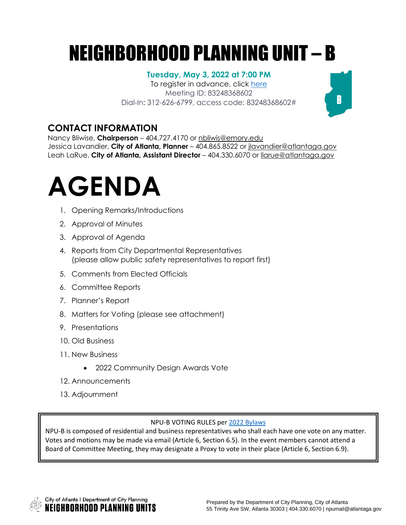## NEIGHBORHOOD PLANNING UNIT – B

### **Tuesday, May 3, 2022 at 7:00 PM**

To register in advance, click [here](https://us06web.zoom.us/meeting/register/tZcvc-GrqDMsGtbvnnKzpDF2BbUXxQuxx_N9) Meeting ID: 83248368602 Dial-In: 312-626-6799, access code: 83248368602#

## **CONTACT INFORMATION**

Nancy Bliwise, **Chairperson** – 404.727.4170 or [nbliwis@emory.edu](mailto:nbliwis@emory.edu) Jessica Lavandier, **City of Atlanta, Planner** – 404.865.8522 or [jlavandier@atlantaga.gov](mailto:jlavandier@atlantaga.gov) Leah LaRue, **City of Atlanta, Assistant Director** – 404.330.6070 or [llarue@atlantaga.gov](mailto:llarue@atlantaga.gov)

# **AGENDA**

- 1. Opening Remarks/Introductions
- 2. Approval of Minutes
- 3. Approval of Agenda
- 4. Reports from City Departmental Representatives (please allow public safety representatives to report first)
- 5. Comments from Elected Officials
- 6. Committee Reports
- 7. Planner's Report
- 8. Matters for Voting (please see attachment)
- 9. Presentations
- 10. Old Business
- 11. New Business
	- 2022 Community Design Awards Vote
- 12. Announcements
- 13. Adjournment

#### NPU-B VOTING RULES per 2022 [Bylaws](https://drive.google.com/file/d/1Nx1HnMcgoWdbKz5jXDii9NGpDqeiiR69/view?usp=sharing)

NPU-B is composed of residential and business representatives who shall each have one vote on any matter. Votes and motions may be made via email (Article 6, Section 6.5). In the event members cannot attend a Board of Committee Meeting, they may designate a Proxy to vote in their place (Article 6, Section 6.9).



 $\mathbf{B}$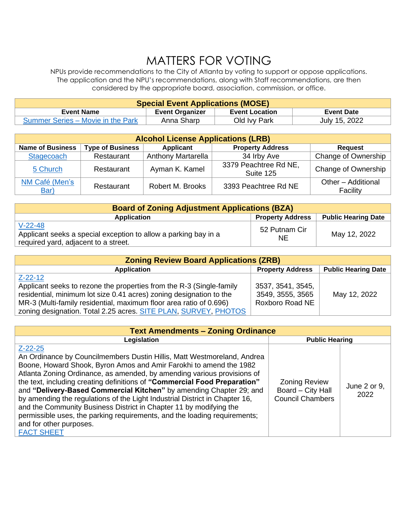## MATTERS FOR VOTING

NPUs provide recommendations to the City of Atlanta by voting to support or oppose applications. The application and the NPU's recommendations, along with Staff recommendations, are then considered by the appropriate board, association, commission, or office.

| <b>Special Event Applications (MOSE)</b> |                        |                       |                   |
|------------------------------------------|------------------------|-----------------------|-------------------|
| <b>Event Name</b>                        | <b>Event Organizer</b> | <b>Event Location</b> | <b>Event Date</b> |
| Summer Series – Movie in the Park        | Anna Sharp             | Old Ivy Park          | July 15, 2022     |

| <b>Alcohol License Applications (LRB)</b> |                         |                           |                                    |                                |
|-------------------------------------------|-------------------------|---------------------------|------------------------------------|--------------------------------|
| <b>Name of Business</b>                   | <b>Type of Business</b> | Applicant                 | <b>Property Address</b>            | <b>Request</b>                 |
| Stagecoach                                | Restaurant              | <b>Anthony Martarella</b> | 34 Irby Ave                        | Change of Ownership            |
| 5 Church                                  | Restaurant              | Ayman K. Kamel            | 3379 Peachtree Rd NE,<br>Suite 125 | Change of Ownership            |
| NM Café (Men's<br>Bar)                    | Restaurant              | Robert M. Brooks          | 3393 Peachtree Rd NE               | Other - Additional<br>Facility |

| <b>Board of Zoning Adjustment Applications (BZA)</b>                                                                 |                         |                            |  |
|----------------------------------------------------------------------------------------------------------------------|-------------------------|----------------------------|--|
| Application                                                                                                          | <b>Property Address</b> | <b>Public Hearing Date</b> |  |
| $V-22-48$<br>Applicant seeks a special exception to allow a parking bay in a<br>required yard, adjacent to a street. | 52 Putnam Cir<br>NE.    | May 12, 2022               |  |

| <b>Zoning Review Board Applications (ZRB)</b>                        |                         |                            |  |
|----------------------------------------------------------------------|-------------------------|----------------------------|--|
| <b>Application</b>                                                   | <b>Property Address</b> | <b>Public Hearing Date</b> |  |
| Z-22-12                                                              |                         |                            |  |
| Applicant seeks to rezone the properties from the R-3 (Single-family | 3537, 3541, 3545,       |                            |  |
| residential, minimum lot size 0.41 acres) zoning designation to the  | 3549, 3555, 3565        | May 12, 2022               |  |
| MR-3 (Multi-family residential, maximum floor area ratio of 0.696)   | Roxboro Road NE         |                            |  |
| zoning designation. Total 2.25 acres. SITE PLAN, SURVEY, PHOTOS      |                         |                            |  |

| <b>Text Amendments - Zoning Ordinance</b>                                                                                                                                                                                                                                                                                                                                                                                                                                                                                                                                                                                                                                       |                                                                      |                      |  |
|---------------------------------------------------------------------------------------------------------------------------------------------------------------------------------------------------------------------------------------------------------------------------------------------------------------------------------------------------------------------------------------------------------------------------------------------------------------------------------------------------------------------------------------------------------------------------------------------------------------------------------------------------------------------------------|----------------------------------------------------------------------|----------------------|--|
| Legislation<br><b>Public Hearing</b>                                                                                                                                                                                                                                                                                                                                                                                                                                                                                                                                                                                                                                            |                                                                      |                      |  |
| $Z - 22 - 25$<br>An Ordinance by Councilmembers Dustin Hillis, Matt Westmoreland, Andrea<br>Boone, Howard Shook, Byron Amos and Amir Farokhi to amend the 1982<br>Atlanta Zoning Ordinance, as amended, by amending various provisions of<br>the text, including creating definitions of "Commercial Food Preparation"<br>and "Delivery-Based Commercial Kitchen" by amending Chapter 29; and<br>by amending the regulations of the Light Industrial District in Chapter 16,<br>and the Community Business District in Chapter 11 by modifying the<br>permissible uses, the parking requirements, and the loading requirements;<br>and for other purposes.<br><b>FACT SHEET</b> | <b>Zoning Review</b><br>Board - City Hall<br><b>Council Chambers</b> | June 2 or 9,<br>2022 |  |